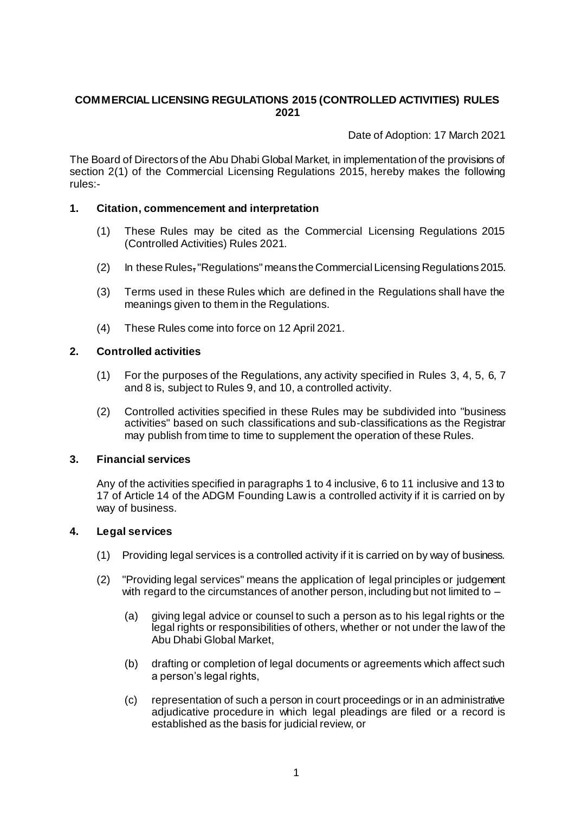# **COMMERCIAL LICENSING REGULATIONS 2015 (CONTROLLED ACTIVITIES) RULES 2021**

Date of Adoption: 17 March 2021

The Board of Directors of the Abu Dhabi Global Market, in implementation of the provisions of section 2(1) of the Commercial Licensing Regulations 2015, hereby makes the following rules:-

## **1. Citation, commencement and interpretation**

- (1) These Rules may be cited as the Commercial Licensing Regulations 2015 (Controlled Activities) Rules 2021.
- (2) In these Rules, "Regulations" means the Commercial Licensing Regulations 2015.
- (3) Terms used in these Rules which are defined in the Regulations shall have the meanings given to them in the Regulations.
- (4) These Rules come into force on 12 April 2021.

# **2. Controlled activities**

- (1) For the purposes of the Regulations, any activity specified in Rules [3,](#page-0-0) [4,](#page-0-1) [5,](#page-1-0) [6,](#page-1-1) 7 and 8 is, subject to Rules 9, and 10, a controlled activity.
- (2) Controlled activities specified in these Rules may be subdivided into "business activities" based on such classifications and sub-classifications as the Registrar may publish from time to time to supplement the operation of these Rules.

## <span id="page-0-0"></span>**3. Financial services**

Any of the activities specified in paragraphs 1 to 4 inclusive, 6 to 11 inclusive and 13 to 17 of Article 14 of the ADGM Founding Law is a controlled activity if it is carried on by way of business.

## <span id="page-0-1"></span>**4. Legal services**

- (1) Providing legal services is a controlled activity if it is carried on by way of business.
- (2) "Providing legal services" means the application of legal principles or judgement with regard to the circumstances of another person, including but not limited to –
	- (a) giving legal advice or counsel to such a person as to his legal rights or the legal rights or responsibilities of others, whether or not under the law of the Abu Dhabi Global Market,
	- (b) drafting or completion of legal documents or agreements which affect such a person's legal rights,
	- (c) representation of such a person in court proceedings or in an administrative adjudicative procedure in which legal pleadings are filed or a record is established as the basis for judicial review, or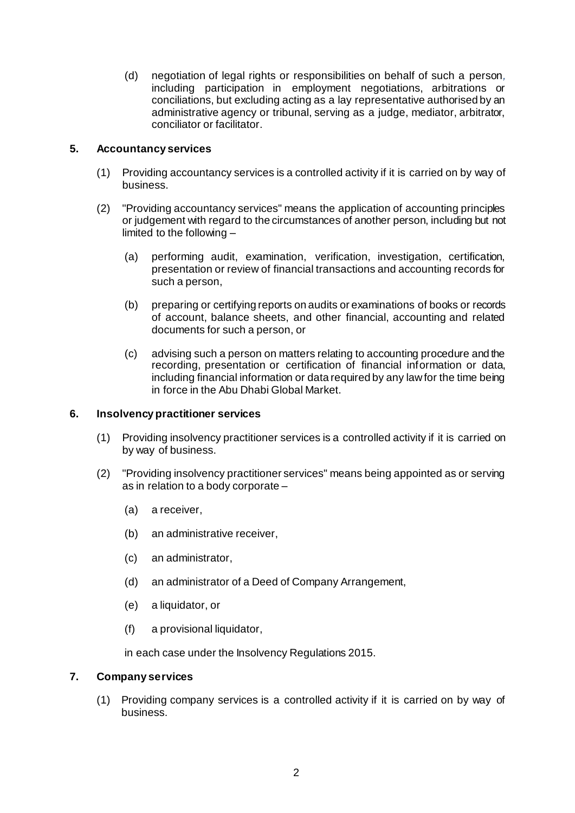(d) negotiation of legal rights or responsibilities on behalf of such a person*,*  including participation in employment negotiations, arbitrations or conciliations, but excluding acting as a lay representative authorised by an administrative agency or tribunal, serving as a judge, mediator, arbitrator, conciliator or facilitator.

# <span id="page-1-0"></span>**5. Accountancy services**

- (1) Providing accountancy services is a controlled activity if it is carried on by way of business.
- (2) "Providing accountancy services" means the application of accounting principles or judgement with regard to the circumstances of another person, including but not limited to the following –
	- (a) performing audit, examination, verification, investigation, certification, presentation or review of financial transactions and accounting records for such a person,
	- (b) preparing or certifying reports on audits or examinations of books or records of account, balance sheets, and other financial, accounting and related documents for such a person, or
	- (c) advising such a person on matters relating to accounting procedure and the recording, presentation or certification of financial information or data, including financial information or data required by any law for the time being in force in the Abu Dhabi Global Market.

## <span id="page-1-1"></span>**6. Insolvency practitioner services**

- (1) Providing insolvency practitioner services is a controlled activity if it is carried on by way of business.
- (2) "Providing insolvency practitioner services" means being appointed as or serving as in relation to a body corporate –
	- (a) a receiver,
	- (b) an administrative receiver,
	- (c) an administrator,
	- (d) an administrator of a Deed of Company Arrangement,
	- (e) a liquidator, or
	- (f) a provisional liquidator,

in each case under the Insolvency Regulations 2015.

## **7. Company services**

(1) Providing company services is a controlled activity if it is carried on by way of business.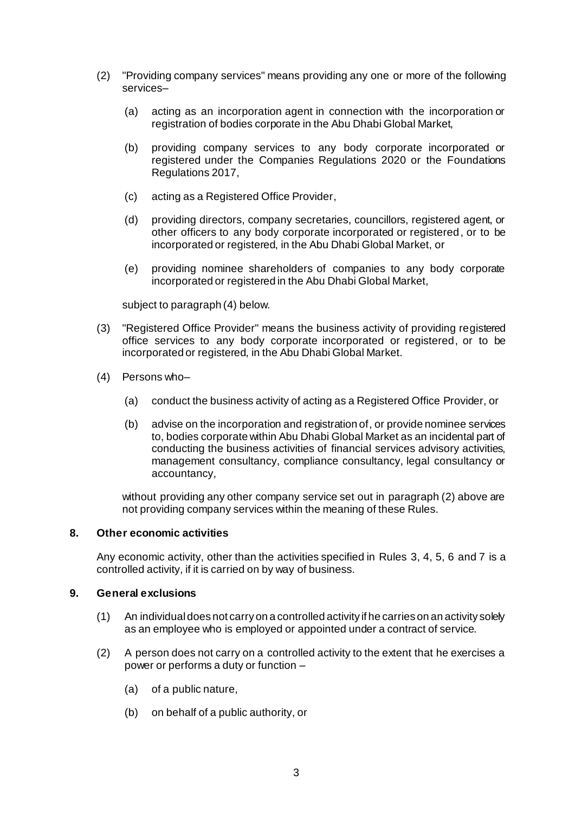- (2) "Providing company services" means providing any one or more of the following services–
	- (a) acting as an incorporation agent in connection with the incorporation or registration of bodies corporate in the Abu Dhabi Global Market,
	- (b) providing company services to any body corporate incorporated or registered under the Companies Regulations 2020 or the Foundations Regulations 2017,
	- (c) acting as a Registered Office Provider,
	- (d) providing directors, company secretaries, councillors, registered agent, or other officers to any body corporate incorporated or registered, or to be incorporated or registered, in the Abu Dhabi Global Market, or
	- (e) providing nominee shareholders of companies to any body corporate incorporated or registered in the Abu Dhabi Global Market,

subject to paragraph (4) below.

- (3) "Registered Office Provider" means the business activity of providing registered office services to any body corporate incorporated or registered, or to be incorporated or registered, in the Abu Dhabi Global Market.
- (4) Persons who–
	- (a) conduct the business activity of acting as a Registered Office Provider, or
	- (b) advise on the incorporation and registration of, or provide nominee services to, bodies corporate within Abu Dhabi Global Market as an incidental part of conducting the business activities of financial services advisory activities, management consultancy, compliance consultancy, legal consultancy or accountancy,

without providing any other company service set out in paragraph (2) above are not providing company services within the meaning of these Rules.

#### **8. Other economic activities**

Any economic activity, other than the activities specified in Rules [3,](#page-0-0) [4,](#page-0-1) [5,](#page-1-0) [6](#page-1-1) and 7 is a controlled activity, if it is carried on by way of business.

#### **9. General exclusions**

- (1) An individual does not carry on a controlled activity if he carries on an activity solely as an employee who is employed or appointed under a contract of service.
- (2) A person does not carry on a controlled activity to the extent that he exercises a power or performs a duty or function –
	- (a) of a public nature,
	- (b) on behalf of a public authority, or